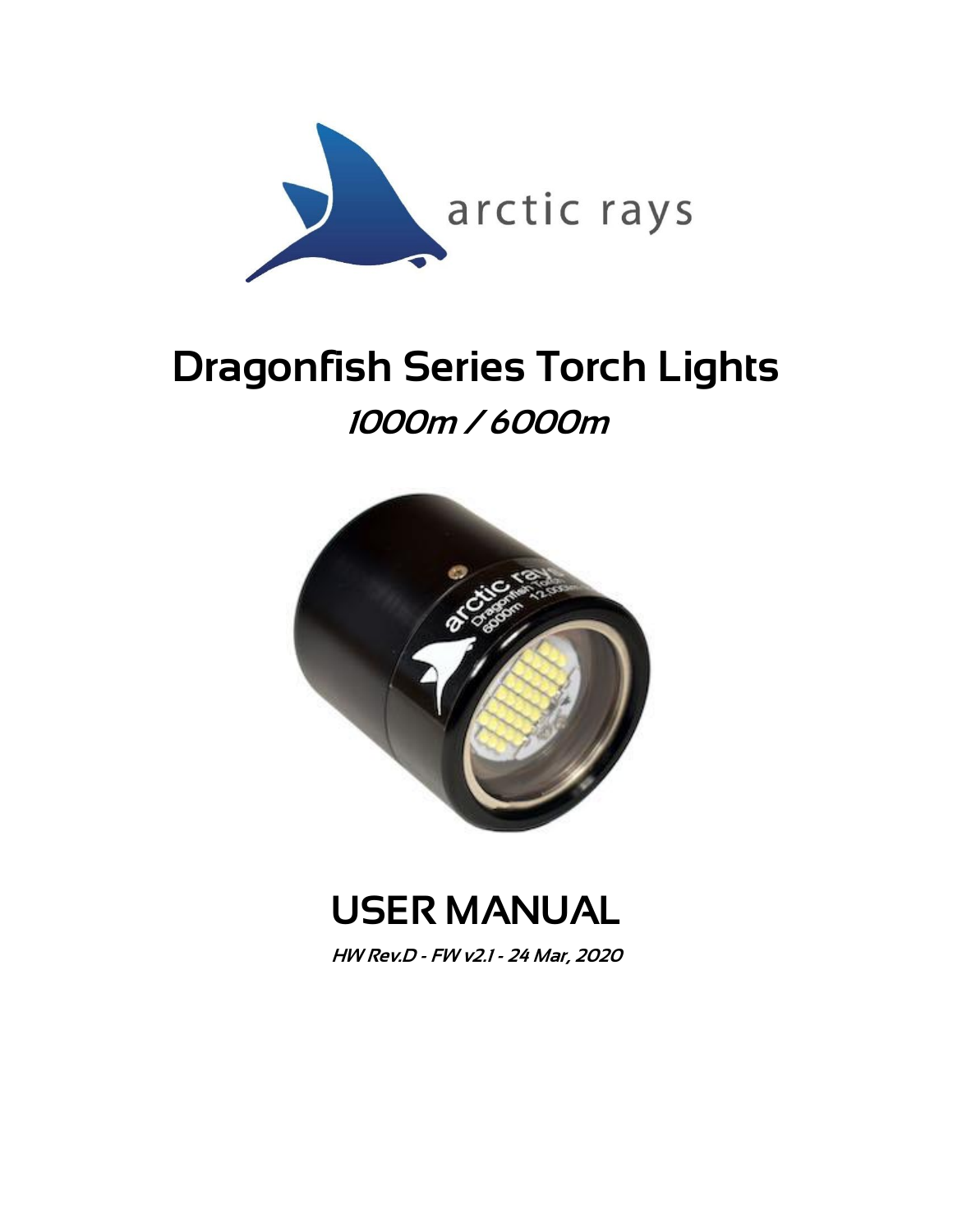

# Dragonfish Series Torch Lights 1000m / 6000m



## USER MANUAL

HW Rev.D - FW v2.1 - 24 Mar, 2020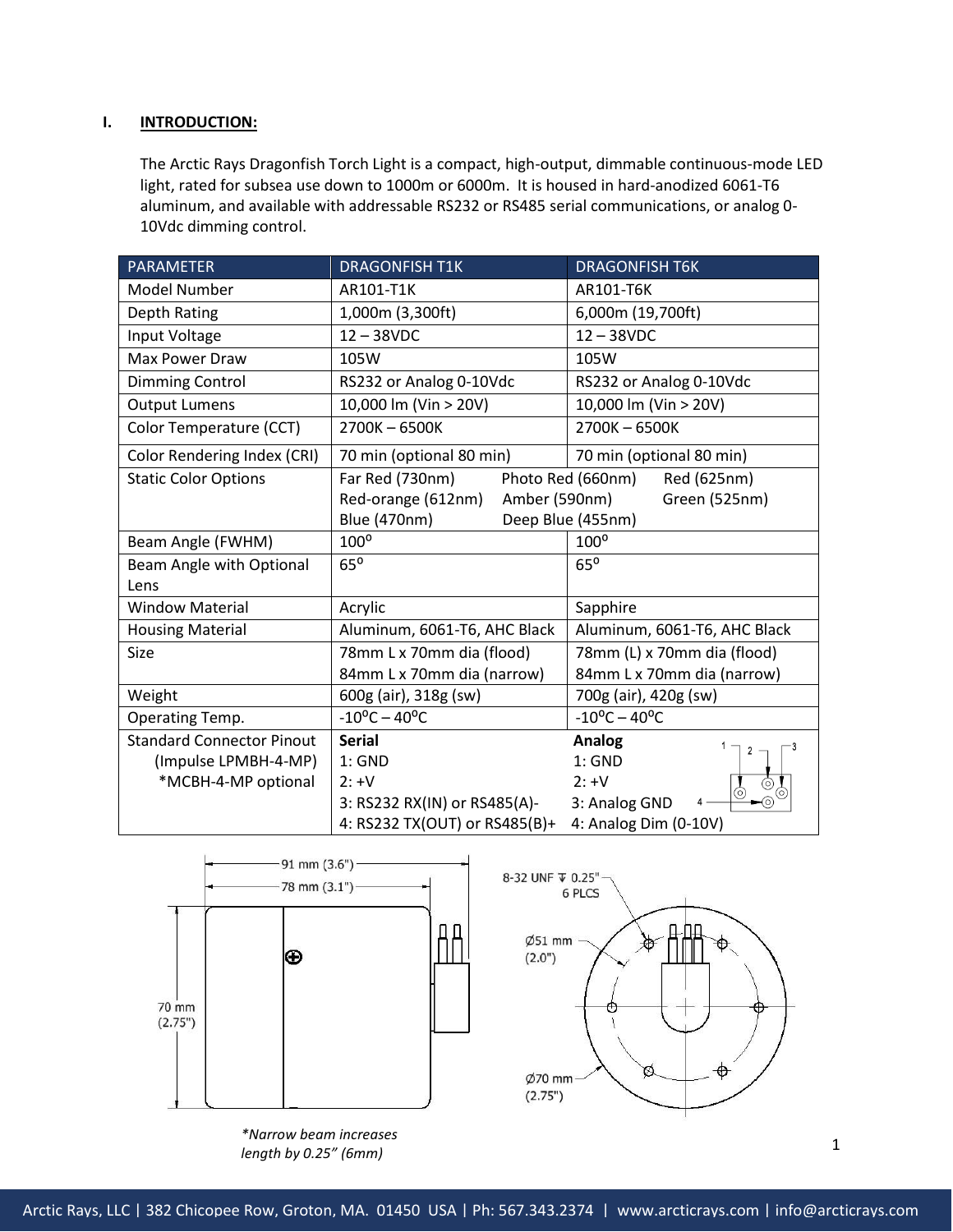#### **I. INTRODUCTION:**

The Arctic Rays Dragonfish Torch Light is a compact, high-output, dimmable continuous-mode LED light, rated for subsea use down to 1000m or 6000m. It is housed in hard-anodized 6061-T6 aluminum, and available with addressable RS232 or RS485 serial communications, or analog 0- 10Vdc dimming control.

| <b>PARAMETER</b>                 | <b>DRAGONFISH T1K</b>                                | <b>DRAGONFISH T6K</b>            |  |
|----------------------------------|------------------------------------------------------|----------------------------------|--|
| Model Number                     | AR101-T1K                                            | AR101-T6K                        |  |
| Depth Rating                     | 1,000m (3,300ft)                                     | 6,000m (19,700ft)                |  |
| Input Voltage                    | $12 - 38$ VDC                                        | $12 - 38$ VDC                    |  |
| Max Power Draw                   | 105W                                                 | 105W                             |  |
| Dimming Control                  | RS232 or Analog 0-10Vdc                              | RS232 or Analog 0-10Vdc          |  |
| <b>Output Lumens</b>             | 10,000 lm (Vin > 20V)                                | 10,000 lm (Vin > 20V)            |  |
| Color Temperature (CCT)          | 2700K-6500K                                          | 2700K-6500K                      |  |
| Color Rendering Index (CRI)      | 70 min (optional 80 min)                             | 70 min (optional 80 min)         |  |
| <b>Static Color Options</b>      | Far Red (730nm)                                      | Photo Red (660nm)<br>Red (625nm) |  |
|                                  | Red-orange (612nm)<br>Amber (590nm)<br>Green (525nm) |                                  |  |
|                                  | <b>Blue (470nm)</b><br>Deep Blue (455nm)             |                                  |  |
| Beam Angle (FWHM)                | $100^{\circ}$                                        | $100^{\circ}$                    |  |
| Beam Angle with Optional         | $65^\circ$                                           | $65^\circ$                       |  |
| Lens                             |                                                      |                                  |  |
| <b>Window Material</b>           | Acrylic                                              | Sapphire                         |  |
| <b>Housing Material</b>          | Aluminum, 6061-T6, AHC Black                         | Aluminum, 6061-T6, AHC Black     |  |
| Size                             | 78mm L x 70mm dia (flood)                            | 78mm (L) x 70mm dia (flood)      |  |
|                                  | 84mm L x 70mm dia (narrow)                           | 84mm L x 70mm dia (narrow)       |  |
| Weight                           | 600g (air), 318g (sw)                                | 700g (air), 420g (sw)            |  |
| Operating Temp.                  | $-10^{\circ}$ C - 40°C                               | $-10^{\circ}$ C - 40°C           |  |
| <b>Standard Connector Pinout</b> | <b>Serial</b>                                        | <b>Analog</b>                    |  |
| (Impulse LPMBH-4-MP)             | $1:$ GND                                             | $1:$ GND                         |  |
| *MCBH-4-MP optional              | $2: +V$                                              | $2: +V$                          |  |
|                                  | 3: RS232 RX(IN) or RS485(A)-                         | 3: Analog GND                    |  |
|                                  | 4: RS232 TX(OUT) or RS485(B)+                        | 4: Analog Dim (0-10V)            |  |





8-32 UNF  $\Psi$  0.25"

*\*Narrow beam increases length by 0.25" (6mm)*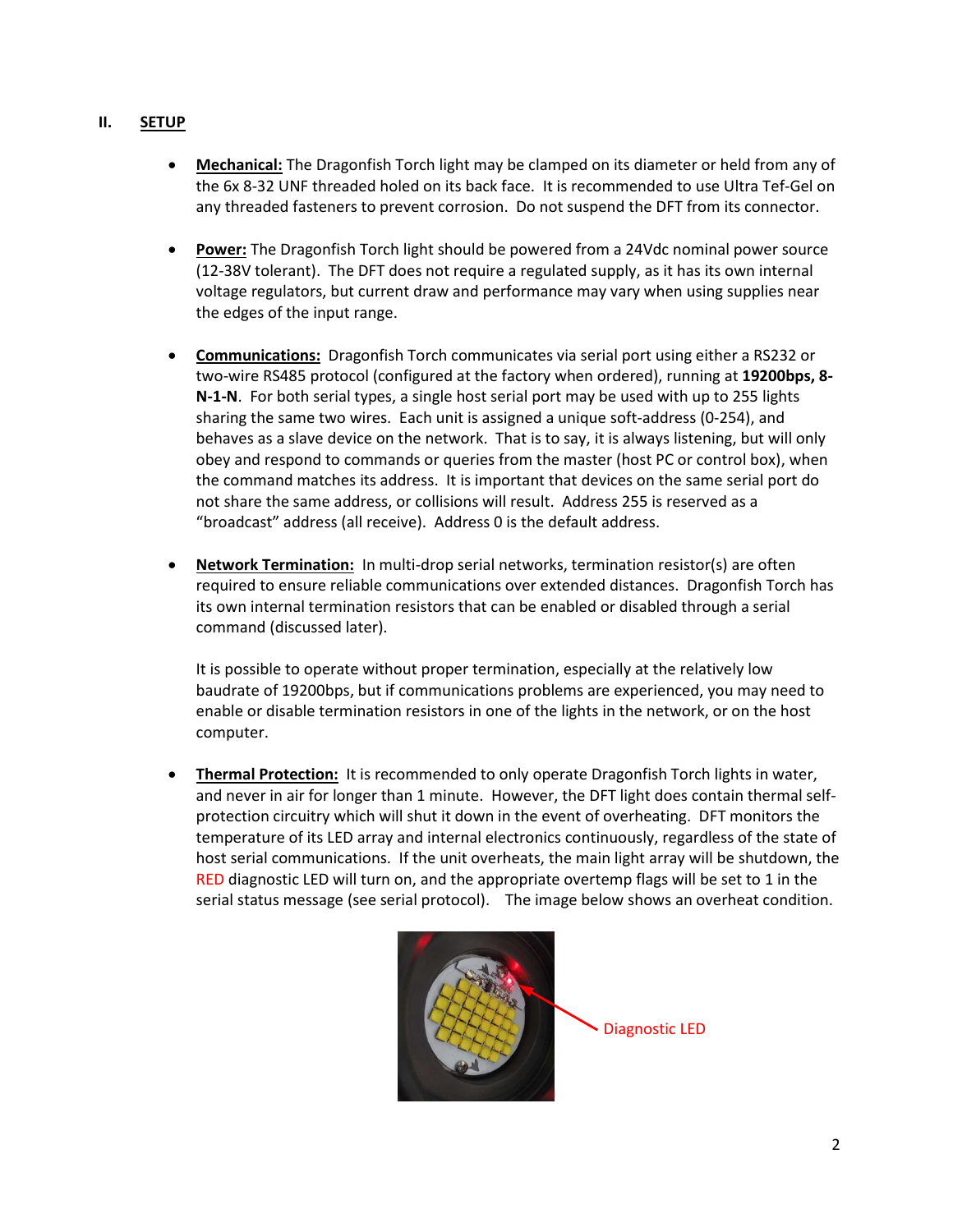## **II. SETUP**

- **Mechanical:** The Dragonfish Torch light may be clamped on its diameter or held from any of the 6x 8-32 UNF threaded holed on its back face. It is recommended to use Ultra Tef-Gel on any threaded fasteners to prevent corrosion. Do not suspend the DFT from its connector.
- **Power:** The Dragonfish Torch light should be powered from a 24Vdc nominal power source (12-38V tolerant). The DFT does not require a regulated supply, as it has its own internal voltage regulators, but current draw and performance may vary when using supplies near the edges of the input range.
- **Communications:** Dragonfish Torch communicates via serial port using either a RS232 or two-wire RS485 protocol (configured at the factory when ordered), running at **19200bps, 8- N-1-N**. For both serial types, a single host serial port may be used with up to 255 lights sharing the same two wires. Each unit is assigned a unique soft-address (0-254), and behaves as a slave device on the network. That is to say, it is always listening, but will only obey and respond to commands or queries from the master (host PC or control box), when the command matches its address. It is important that devices on the same serial port do not share the same address, or collisions will result. Address 255 is reserved as a "broadcast" address (all receive). Address 0 is the default address.
- **Network Termination:** In multi-drop serial networks, termination resistor(s) are often required to ensure reliable communications over extended distances. Dragonfish Torch has its own internal termination resistors that can be enabled or disabled through a serial command (discussed later).

It is possible to operate without proper termination, especially at the relatively low baudrate of 19200bps, but if communications problems are experienced, you may need to enable or disable termination resistors in one of the lights in the network, or on the host computer.

 **Thermal Protection:** It is recommended to only operate Dragonfish Torch lights in water, and never in air for longer than 1 minute. However, the DFT light does contain thermal selfprotection circuitry which will shut it down in the event of overheating. DFT monitors the temperature of its LED array and internal electronics continuously, regardless of the state of host serial communications. If the unit overheats, the main light array will be shutdown, the RED diagnostic LED will turn on, and the appropriate overtemp flags will be set to 1 in the serial status message (see serial protocol). The image below shows an overheat condition.



Diagnostic LED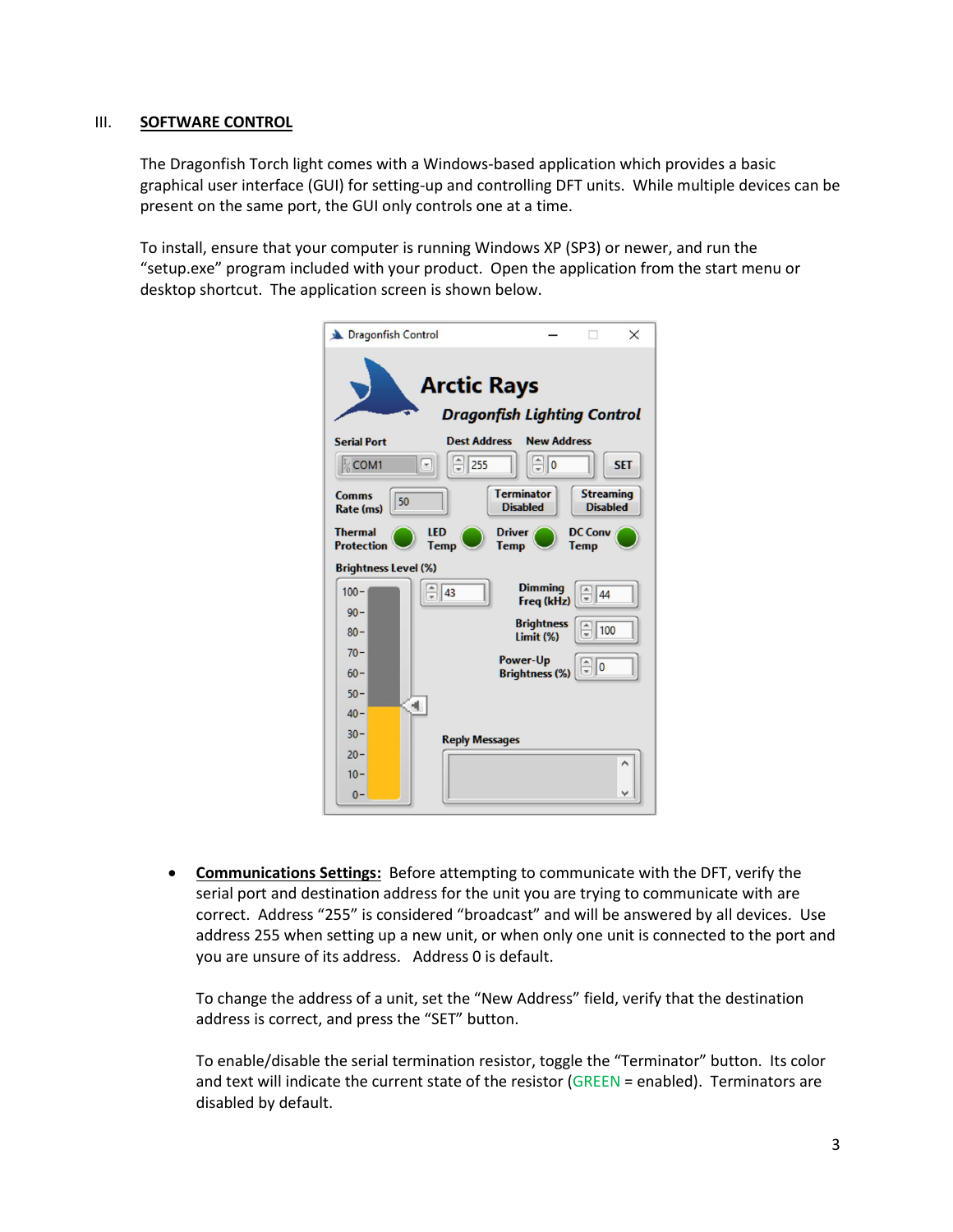#### III. **SOFTWARE CONTROL**

The Dragonfish Torch light comes with a Windows-based application which provides a basic graphical user interface (GUI) for setting-up and controlling DFT units. While multiple devices can be present on the same port, the GUI only controls one at a time.

To install, ensure that your computer is running Windows XP (SP3) or newer, and run the "setup.exe" program included with your product. Open the application from the start menu or desktop shortcut. The application screen is shown below.

| Dragonfish Control                                       |                               |                                      | $\times$                            |  |
|----------------------------------------------------------|-------------------------------|--------------------------------------|-------------------------------------|--|
| <b>Arctic Rays</b><br><b>Dragonfish Lighting Control</b> |                               |                                      |                                     |  |
| <b>Serial Port</b>                                       | <b>Dest Address</b>           | <b>New Address</b>                   |                                     |  |
| ½ COM1                                                   | $\frac{255}{10}$<br>$\lbrack$ | $\sqrt{2}$                           | <b>SET</b>                          |  |
| Comms<br>50<br>Rate (ms)                                 |                               | <b>Terminator</b><br><b>Disabled</b> | <b>Streaming</b><br><b>Disabled</b> |  |
| <b>Thermal</b><br><b>Protection</b>                      | LED<br><b>Temp</b>            | <b>Driver</b><br><b>Temp</b>         | <b>DC Conv</b><br><b>Temp</b>       |  |
| <b>Brightness Level (%)</b>                              |                               |                                      |                                     |  |
| $100 -$                                                  | $\frac{1}{x}$<br> 43          | <b>Dimming</b><br>Freq (kHz)         | $\frac{2}{x}$ 44                    |  |
| $90 -$                                                   |                               | <b>Brightness</b>                    | 100                                 |  |
| $80 -$                                                   |                               | Limit (%)                            |                                     |  |
| $70 -$                                                   |                               | Power-Up                             | $\frac{1}{2}$ o                     |  |
| $60 -$                                                   |                               | <b>Brightness (%)</b>                |                                     |  |
| $50 -$                                                   | 4.                            |                                      |                                     |  |
| $40 -$                                                   |                               |                                      |                                     |  |
| $30 -$                                                   | <b>Reply Messages</b>         |                                      |                                     |  |
| $20 -$                                                   |                               |                                      | Λ                                   |  |
| $10 -$                                                   |                               |                                      |                                     |  |
| $0 -$                                                    |                               |                                      | $\checkmark$                        |  |

 **Communications Settings:** Before attempting to communicate with the DFT, verify the serial port and destination address for the unit you are trying to communicate with are correct. Address "255" is considered "broadcast" and will be answered by all devices. Use address 255 when setting up a new unit, or when only one unit is connected to the port and you are unsure of its address. Address 0 is default.

To change the address of a unit, set the "New Address" field, verify that the destination address is correct, and press the "SET" button.

To enable/disable the serial termination resistor, toggle the "Terminator" button. Its color and text will indicate the current state of the resistor (GREEN = enabled). Terminators are disabled by default.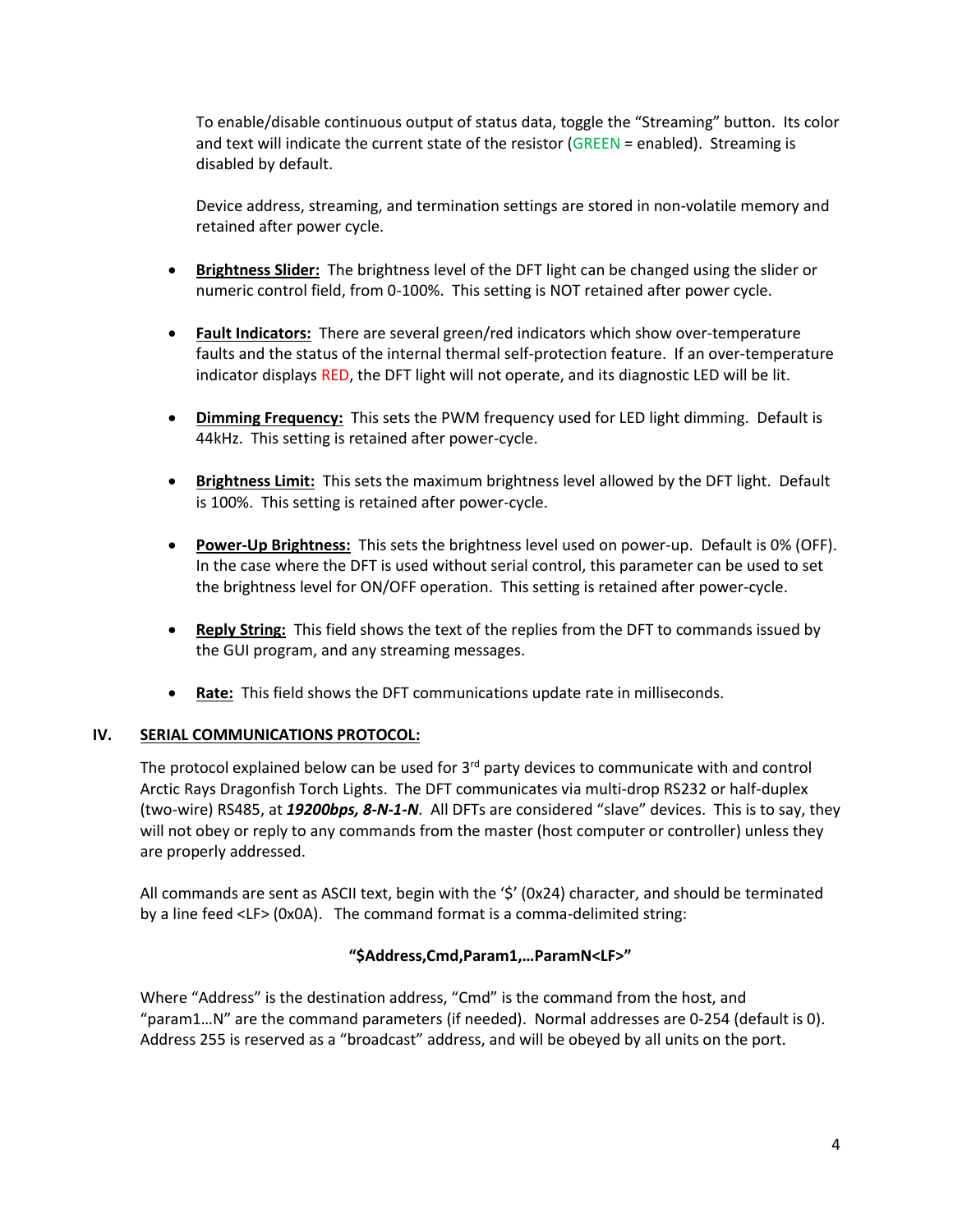To enable/disable continuous output of status data, toggle the "Streaming" button. Its color and text will indicate the current state of the resistor (GREEN = enabled). Streaming is disabled by default.

Device address, streaming, and termination settings are stored in non-volatile memory and retained after power cycle.

- **Brightness Slider:** The brightness level of the DFT light can be changed using the slider or numeric control field, from 0-100%. This setting is NOT retained after power cycle.
- **Fault Indicators:** There are several green/red indicators which show over-temperature faults and the status of the internal thermal self-protection feature. If an over-temperature indicator displays RED, the DFT light will not operate, and its diagnostic LED will be lit.
- **Dimming Frequency:** This sets the PWM frequency used for LED light dimming. Default is 44kHz. This setting is retained after power-cycle.
- **Brightness Limit:** This sets the maximum brightness level allowed by the DFT light. Default is 100%. This setting is retained after power-cycle.
- **Power-Up Brightness:** This sets the brightness level used on power-up. Default is 0% (OFF). In the case where the DFT is used without serial control, this parameter can be used to set the brightness level for ON/OFF operation. This setting is retained after power-cycle.
- **Reply String:** This field shows the text of the replies from the DFT to commands issued by the GUI program, and any streaming messages.
- **Rate:** This field shows the DFT communications update rate in milliseconds.

## **IV. SERIAL COMMUNICATIONS PROTOCOL:**

The protocol explained below can be used for 3<sup>rd</sup> party devices to communicate with and control Arctic Rays Dragonfish Torch Lights. The DFT communicates via multi-drop RS232 or half-duplex (two-wire) RS485, at *19200bps, 8-N-1-N*. All DFTs are considered "slave" devices. This is to say, they will not obey or reply to any commands from the master (host computer or controller) unless they are properly addressed.

All commands are sent as ASCII text, begin with the '\$' (0x24) character, and should be terminated by a line feed <LF> (0x0A). The command format is a comma-delimited string:

#### **"\$Address,Cmd,Param1,…ParamN<LF>"**

Where "Address" is the destination address, "Cmd" is the command from the host, and "param1…N" are the command parameters (if needed). Normal addresses are 0-254 (default is 0). Address 255 is reserved as a "broadcast" address, and will be obeyed by all units on the port.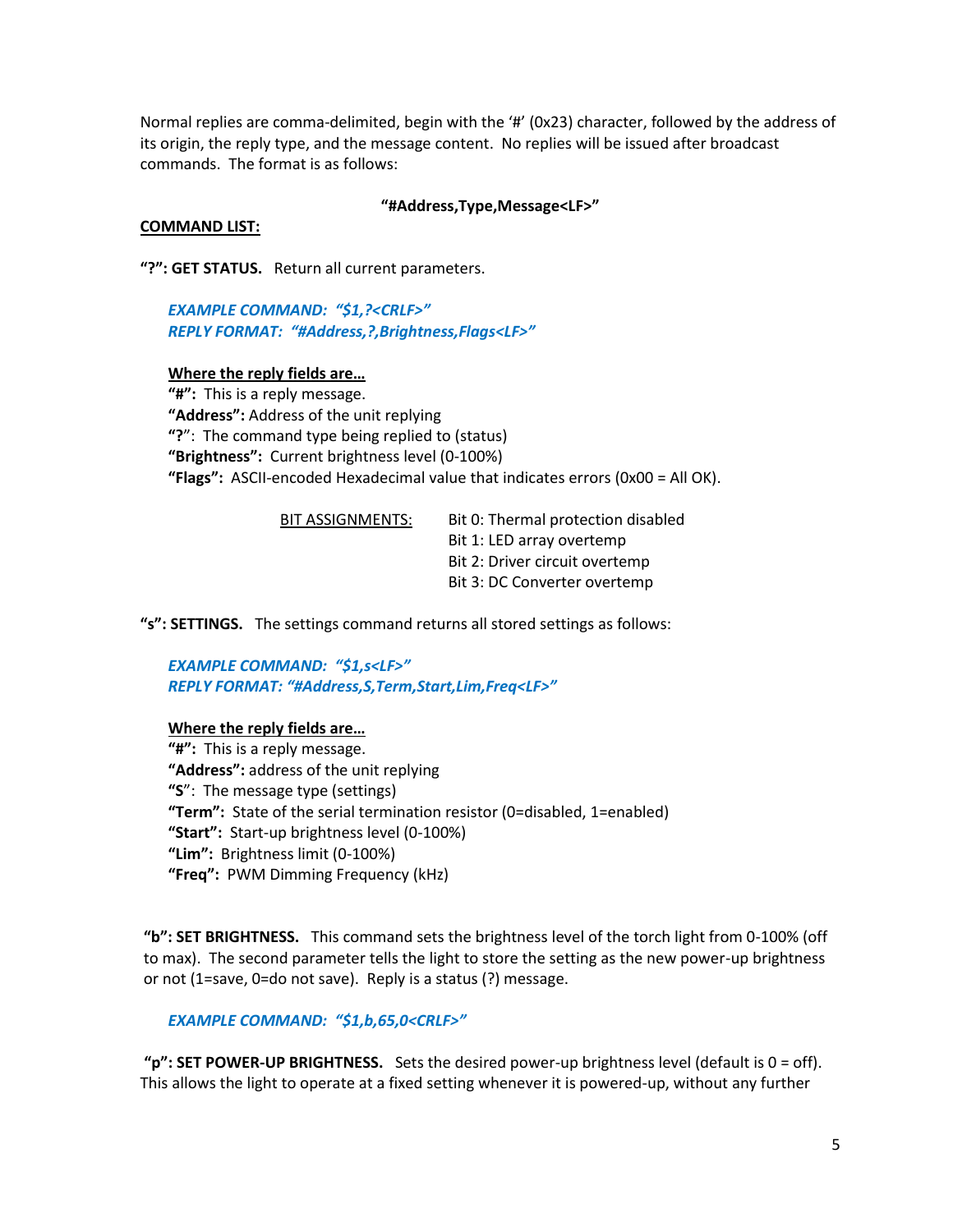Normal replies are comma-delimited, begin with the '#' (0x23) character, followed by the address of its origin, the reply type, and the message content. No replies will be issued after broadcast commands. The format is as follows:

#### **"#Address,Type,Message<LF>"**

#### **COMMAND LIST:**

**"?": GET STATUS.** Return all current parameters.

*EXAMPLE COMMAND: "\$1,?<CRLF>" REPLY FORMAT: "#Address,?,Brightness,Flags<LF>"*

#### **Where the reply fields are…**

**"#":** This is a reply message. **"Address":** Address of the unit replying **"?**": The command type being replied to (status) **"Brightness":** Current brightness level (0-100%) **"Flags":** ASCII-encoded Hexadecimal value that indicates errors (0x00 = All OK).

| Bit 0: Thermal protection disabled |
|------------------------------------|
| Bit 1: LED array overtemp          |
| Bit 2: Driver circuit overtemp     |
| Bit 3: DC Converter overtemp       |
|                                    |

**"s": SETTINGS.** The settings command returns all stored settings as follows:

*EXAMPLE COMMAND: "\$1,s<LF>" REPLY FORMAT: "#Address,S,Term,Start,Lim,Freq<LF>"*

#### **Where the reply fields are…**

**"#":** This is a reply message. **"Address":** address of the unit replying **"S**": The message type (settings) **"Term":** State of the serial termination resistor (0=disabled, 1=enabled) **"Start":** Start-up brightness level (0-100%) **"Lim":** Brightness limit (0-100%) **"Freq":** PWM Dimming Frequency (kHz)

**"b": SET BRIGHTNESS.** This command sets the brightness level of the torch light from 0-100% (off to max). The second parameter tells the light to store the setting as the new power-up brightness or not (1=save, 0=do not save). Reply is a status (?) message.

#### *EXAMPLE COMMAND: "\$1,b,65,0<CRLF>"*

**"p": SET POWER-UP BRIGHTNESS.** Sets the desired power-up brightness level (default is 0 = off). This allows the light to operate at a fixed setting whenever it is powered-up, without any further